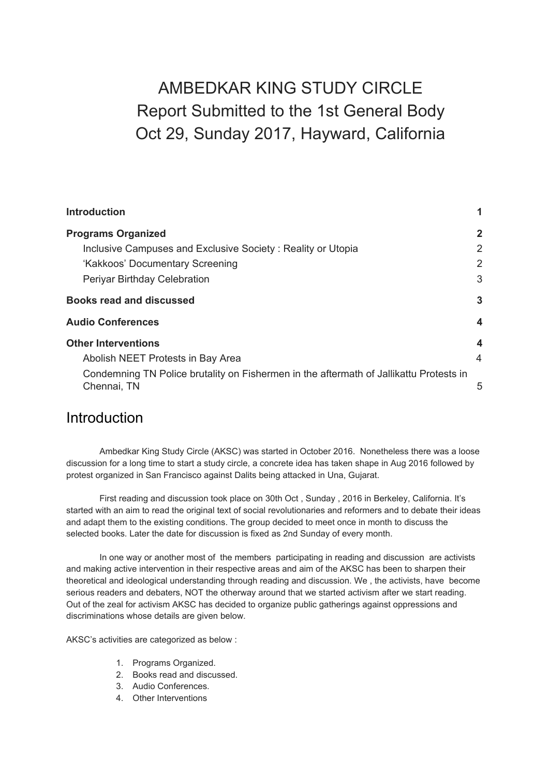# AMBEDKAR KING STUDY CIRCLE Report Submitted to the 1st General Body Oct 29, Sunday 2017, Hayward, California

| <b>Introduction</b>                                                                                   |              |
|-------------------------------------------------------------------------------------------------------|--------------|
| <b>Programs Organized</b>                                                                             | $\mathbf{2}$ |
| Inclusive Campuses and Exclusive Society: Reality or Utopia                                           | 2            |
| 'Kakkoos' Documentary Screening                                                                       | 2            |
| Periyar Birthday Celebration                                                                          | 3            |
| <b>Books read and discussed</b>                                                                       | 3            |
| <b>Audio Conferences</b>                                                                              | 4            |
| <b>Other Interventions</b>                                                                            | 4            |
| Abolish NEET Protests in Bay Area                                                                     | 4            |
| Condemning TN Police brutality on Fishermen in the aftermath of Jallikattu Protests in<br>Chennai, TN | 5            |

### <span id="page-0-0"></span>**Introduction**

Ambedkar King Study Circle (AKSC) was started in October 2016. Nonetheless there was a loose discussion for a long time to start a study circle, a concrete idea has taken shape in Aug 2016 followed by protest organized in San Francisco against Dalits being attacked in Una, Gujarat.

First reading and discussion took place on 30th Oct , Sunday , 2016 in Berkeley, California. It's started with an aim to read the original text of social revolutionaries and reformers and to debate their ideas and adapt them to the existing conditions. The group decided to meet once in month to discuss the selected books. Later the date for discussion is fixed as 2nd Sunday of every month.

In one way or another most of the members participating in reading and discussion are activists and making active intervention in their respective areas and aim of the AKSC has been to sharpen their theoretical and ideological understanding through reading and discussion. We , the activists, have become serious readers and debaters, NOT the otherway around that we started activism after we start reading. Out of the zeal for activism AKSC has decided to organize public gatherings against oppressions and discriminations whose details are given below.

AKSC's activities are categorized as below :

- 1. Programs Organized.
- 2. Books read and discussed.
- 3. Audio Conferences.
- 4. Other Interventions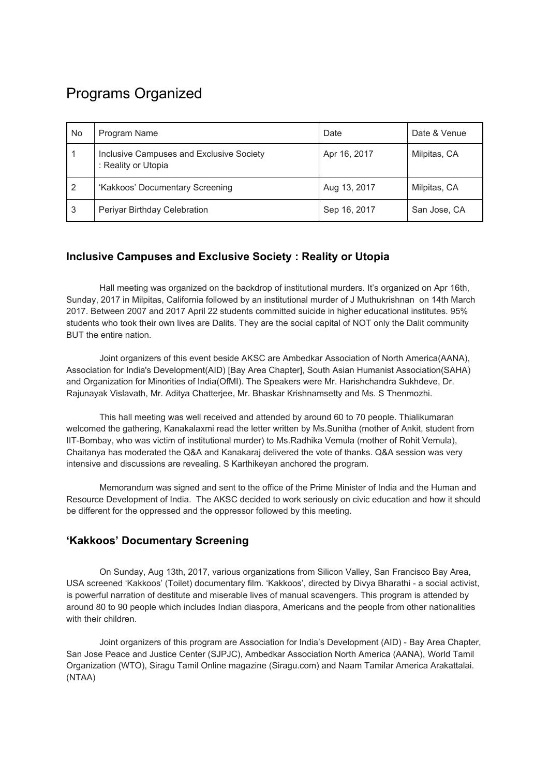# <span id="page-1-0"></span>Programs Organized

| No | Program Name                                                    | Date         | Date & Venue |
|----|-----------------------------------------------------------------|--------------|--------------|
|    | Inclusive Campuses and Exclusive Society<br>: Reality or Utopia | Apr 16, 2017 | Milpitas, CA |
| 2  | 'Kakkoos' Documentary Screening                                 | Aug 13, 2017 | Milpitas, CA |
| 3  | Periyar Birthday Celebration                                    | Sep 16, 2017 | San Jose, CA |

### <span id="page-1-1"></span>**Inclusive Campuses and Exclusive Society : Reality or Utopia**

Hall meeting was organized on the backdrop of institutional murders. It's organized on Apr 16th, Sunday, 2017 in Milpitas, California followed by an institutional murder of J Muthukrishnan on 14th March 2017. Between 2007 and 2017 April 22 students committed suicide in higher educational institutes. 95% students who took their own lives are Dalits. They are the social capital of NOT only the Dalit community BUT the entire nation.

Joint organizers of this event beside AKSC are Ambedkar Association of North America(AANA), Association for India's Development(AID) [Bay Area Chapter], South Asian Humanist Association(SAHA) and Organization for Minorities of India(OfMI). The Speakers were Mr. Harishchandra Sukhdeve, Dr. Rajunayak Vislavath, Mr. Aditya Chatterjee, Mr. Bhaskar Krishnamsetty and Ms. S Thenmozhi.

This hall meeting was well received and attended by around 60 to 70 people. Thialikumaran welcomed the gathering, Kanakalaxmi read the letter written by Ms.Sunitha (mother of Ankit, student from IIT-Bombay, who was victim of institutional murder) to Ms.Radhika Vemula (mother of Rohit Vemula), Chaitanya has moderated the Q&A and Kanakaraj delivered the vote of thanks. Q&A session was very intensive and discussions are revealing. S Karthikeyan anchored the program.

Memorandum was signed and sent to the office of the Prime Minister of India and the Human and Resource Development of India. The AKSC decided to work seriously on civic education and how it should be different for the oppressed and the oppressor followed by this meeting.

### <span id="page-1-2"></span>**'Kakkoos' Documentary Screening**

On Sunday, Aug 13th, 2017, various organizations from Silicon Valley, San Francisco Bay Area, USA screened 'Kakkoos' (Toilet) documentary film. 'Kakkoos', directed by Divya Bharathi - a social activist, is powerful narration of destitute and miserable lives of manual scavengers. This program is attended by around 80 to 90 people which includes Indian diaspora, Americans and the people from other nationalities with their children.

Joint organizers of this program are Association for India's Development (AID) - Bay Area Chapter, San Jose Peace and Justice Center (SJPJC), Ambedkar Association North America (AANA), World Tamil Organization (WTO), Siragu Tamil Online magazine (Siragu.com) and Naam Tamilar America Arakattalai. (NTAA)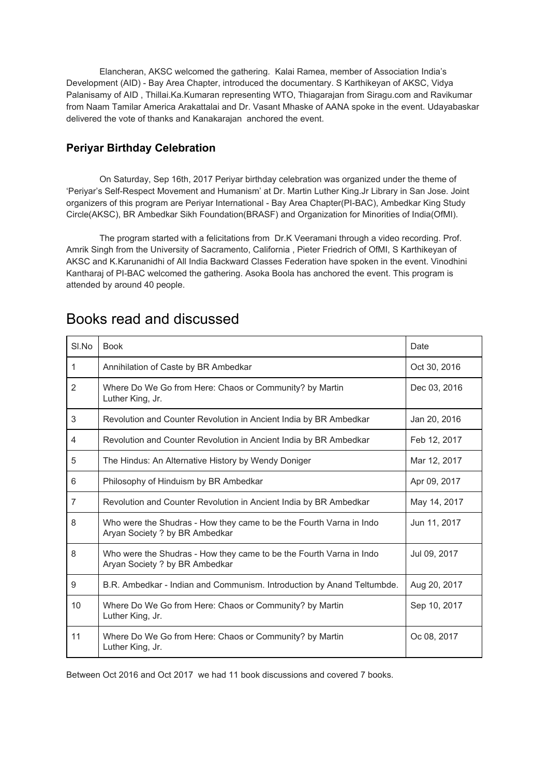Elancheran, AKSC welcomed the gathering. Kalai Ramea, member of Association India's Development (AID) - Bay Area Chapter, introduced the documentary. S Karthikeyan of AKSC, Vidya Palanisamy of AID , Thillai.Ka.Kumaran representing WTO, Thiagarajan from Siragu.com and Ravikumar from Naam Tamilar America Arakattalai and Dr. Vasant Mhaske of AANA spoke in the event. Udayabaskar delivered the vote of thanks and Kanakarajan anchored the event.

### <span id="page-2-0"></span>**Periyar Birthday Celebration**

On Saturday, Sep 16th, 2017 Periyar birthday celebration was organized under the theme of 'Periyar's Self-Respect Movement and Humanism' at Dr. Martin Luther King.Jr Library in San Jose. Joint organizers of this program are Periyar International - Bay Area Chapter(PI-BAC), Ambedkar King Study Circle(AKSC), BR Ambedkar Sikh Foundation(BRASF) and Organization for Minorities of India(OfMI).

The program started with a felicitations from Dr.K Veeramani through a video recording. Prof. Amrik Singh from the University of Sacramento, California , Pieter Friedrich of OfMI, S Karthikeyan of AKSC and K.Karunanidhi of All India Backward Classes Federation have spoken in the event. Vinodhini Kantharaj of PI-BAC welcomed the gathering. Asoka Boola has anchored the event. This program is attended by around 40 people.

| SI.No          | <b>Book</b>                                                                                           | Date         |
|----------------|-------------------------------------------------------------------------------------------------------|--------------|
| $\mathbf{1}$   | Annihilation of Caste by BR Ambedkar                                                                  | Oct 30, 2016 |
| 2              | Where Do We Go from Here: Chaos or Community? by Martin<br>Luther King, Jr.                           | Dec 03, 2016 |
| 3              | Revolution and Counter Revolution in Ancient India by BR Ambedkar                                     | Jan 20, 2016 |
| 4              | Revolution and Counter Revolution in Ancient India by BR Ambedkar                                     | Feb 12, 2017 |
| 5              | The Hindus: An Alternative History by Wendy Doniger                                                   | Mar 12, 2017 |
| 6              | Philosophy of Hinduism by BR Ambedkar                                                                 | Apr 09, 2017 |
| $\overline{7}$ | Revolution and Counter Revolution in Ancient India by BR Ambedkar                                     | May 14, 2017 |
| 8              | Who were the Shudras - How they came to be the Fourth Varna in Indo<br>Aryan Society ? by BR Ambedkar | Jun 11, 2017 |
| 8              | Who were the Shudras - How they came to be the Fourth Varna in Indo<br>Aryan Society ? by BR Ambedkar | Jul 09, 2017 |
| 9              | B.R. Ambedkar - Indian and Communism. Introduction by Anand Teltumbde.                                | Aug 20, 2017 |
| 10             | Where Do We Go from Here: Chaos or Community? by Martin<br>Luther King, Jr.                           | Sep 10, 2017 |
| 11             | Where Do We Go from Here: Chaos or Community? by Martin<br>Luther King, Jr.                           | Oc 08, 2017  |

### <span id="page-2-1"></span>Books read and discussed

Between Oct 2016 and Oct 2017 we had 11 book discussions and covered 7 books.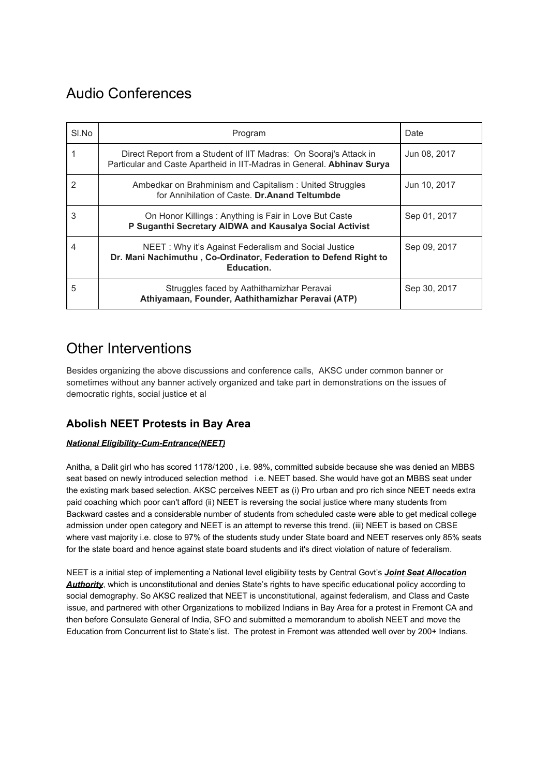## <span id="page-3-0"></span>Audio Conferences

| SI.No | Program                                                                                                                                     | Date         |
|-------|---------------------------------------------------------------------------------------------------------------------------------------------|--------------|
|       | Direct Report from a Student of IIT Madras: On Sooraj's Attack in<br>Particular and Caste Apartheid in IIT-Madras in General. Abhinav Surya | Jun 08, 2017 |
| 2     | Ambedkar on Brahminism and Capitalism: United Struggles<br>for Annihilation of Caste. Dr.Anand Teltumbde                                    | Jun 10, 2017 |
| 3     | On Honor Killings: Anything is Fair in Love But Caste<br>P Suganthi Secretary AIDWA and Kausalya Social Activist                            | Sep 01, 2017 |
| 4     | NEET: Why it's Against Federalism and Social Justice<br>Dr. Mani Nachimuthu, Co-Ordinator, Federation to Defend Right to<br>Education.      | Sep 09, 2017 |
| 5     | Struggles faced by Aathithamizhar Peravai<br>Athiyamaan, Founder, Aathithamizhar Peravai (ATP)                                              | Sep 30, 2017 |

### <span id="page-3-1"></span>Other Interventions

Besides organizing the above discussions and conference calls, AKSC under common banner or sometimes without any banner actively organized and take part in demonstrations on the issues of democratic rights, social justice et al

### <span id="page-3-2"></span>**Abolish NEET Protests in Bay Area**

#### *National Eligibility-Cum-Entrance(NEET)*

Anitha, a Dalit girl who has scored 1178/1200 , i.e. 98%, committed subside because she was denied an MBBS seat based on newly introduced selection method i.e. NEET based. She would have got an MBBS seat under the existing mark based selection. AKSC perceives NEET as (i) Pro urban and pro rich since NEET needs extra paid coaching which poor can't afford (ii) NEET is reversing the social justice where many students from Backward castes and a considerable number of students from scheduled caste were able to get medical college admission under open category and NEET is an attempt to reverse this trend. (iii) NEET is based on CBSE where vast majority i.e. close to 97% of the students study under State board and NEET reserves only 85% seats for the state board and hence against state board students and it's direct violation of nature of federalism.

NEET is a initial step of implementing a National level eligibility tests by Central Govt's *Joint Seat Allocation Authority*, which is unconstitutional and denies State's rights to have specific educational policy according to social demography. So AKSC realized that NEET is unconstitutional, against federalism, and Class and Caste issue, and partnered with other Organizations to mobilized Indians in Bay Area for a protest in Fremont CA and then before Consulate General of India, SFO and submitted a memorandum to abolish NEET and move the Education from Concurrent list to State's list. The protest in Fremont was attended well over by 200+ Indians.